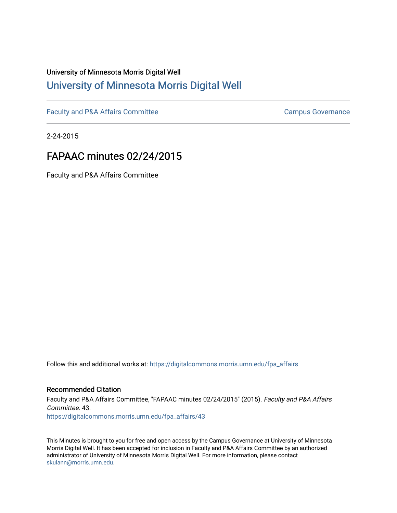## University of Minnesota Morris Digital Well [University of Minnesota Morris Digital Well](https://digitalcommons.morris.umn.edu/)

[Faculty and P&A Affairs Committee](https://digitalcommons.morris.umn.edu/fpa_affairs) [Campus Governance](https://digitalcommons.morris.umn.edu/campgov) Campus Governance

2-24-2015

## FAPAAC minutes 02/24/2015

Faculty and P&A Affairs Committee

Follow this and additional works at: [https://digitalcommons.morris.umn.edu/fpa\\_affairs](https://digitalcommons.morris.umn.edu/fpa_affairs?utm_source=digitalcommons.morris.umn.edu%2Ffpa_affairs%2F43&utm_medium=PDF&utm_campaign=PDFCoverPages)

## Recommended Citation

Faculty and P&A Affairs Committee, "FAPAAC minutes 02/24/2015" (2015). Faculty and P&A Affairs Committee. 43. [https://digitalcommons.morris.umn.edu/fpa\\_affairs/43](https://digitalcommons.morris.umn.edu/fpa_affairs/43?utm_source=digitalcommons.morris.umn.edu%2Ffpa_affairs%2F43&utm_medium=PDF&utm_campaign=PDFCoverPages) 

This Minutes is brought to you for free and open access by the Campus Governance at University of Minnesota Morris Digital Well. It has been accepted for inclusion in Faculty and P&A Affairs Committee by an authorized administrator of University of Minnesota Morris Digital Well. For more information, please contact [skulann@morris.umn.edu.](mailto:skulann@morris.umn.edu)